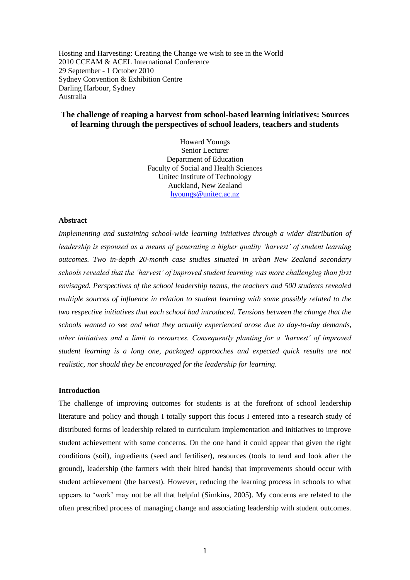Hosting and Harvesting: Creating the Change we wish to see in the World 2010 CCEAM & ACEL International Conference 29 September - 1 October 2010 Sydney Convention & Exhibition Centre Darling Harbour, Sydney Australia

# **The challenge of reaping a harvest from school-based learning initiatives: Sources of learning through the perspectives of school leaders, teachers and students**

Howard Youngs Senior Lecturer Department of Education Faculty of Social and Health Sciences Unitec Institute of Technology Auckland, New Zealand [hyoungs@unitec.ac.nz](mailto:hyoungs@unitec.ac.nz)

### **Abstract**

*Implementing and sustaining school-wide learning initiatives through a wider distribution of leadership is espoused as a means of generating a higher quality 'harvest' of student learning outcomes. Two in-depth 20-month case studies situated in urban New Zealand secondary schools revealed that the 'harvest' of improved student learning was more challenging than first envisaged. Perspectives of the school leadership teams, the teachers and 500 students revealed multiple sources of influence in relation to student learning with some possibly related to the two respective initiatives that each school had introduced. Tensions between the change that the schools wanted to see and what they actually experienced arose due to day-to-day demands, other initiatives and a limit to resources. Consequently planting for a 'harvest' of improved student learning is a long one, packaged approaches and expected quick results are not realistic, nor should they be encouraged for the leadership for learning.* 

## **Introduction**

The challenge of improving outcomes for students is at the forefront of school leadership literature and policy and though I totally support this focus I entered into a research study of distributed forms of leadership related to curriculum implementation and initiatives to improve student achievement with some concerns. On the one hand it could appear that given the right conditions (soil), ingredients (seed and fertiliser), resources (tools to tend and look after the ground), leadership (the farmers with their hired hands) that improvements should occur with student achievement (the harvest). However, reducing the learning process in schools to what appears to "work" may not be all that helpful (Simkins, 2005). My concerns are related to the often prescribed process of managing change and associating leadership with student outcomes.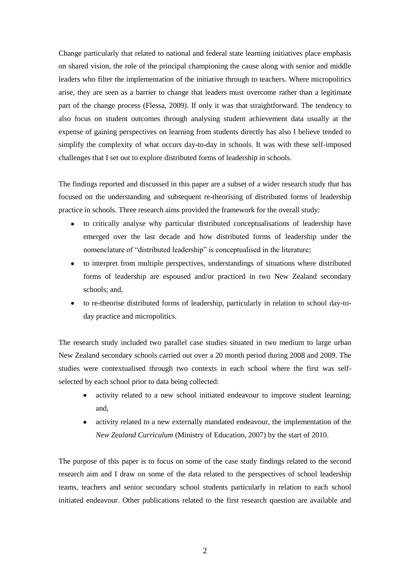Change particularly that related to national and federal state learning initiatives place emphasis on shared vision, the role of the principal championing the cause along with senior and middle leaders who filter the implementation of the initiative through to teachers. Where micropolitics arise, they are seen as a barrier to change that leaders must overcome rather than a legitimate part of the change process (Flessa, 2009). If only it was that straightforward. The tendency to also focus on student outcomes through analysing student achievement data usually at the expense of gaining perspectives on learning from students directly has also I believe tended to simplify the complexity of what occurs day-to-day in schools. It was with these self-imposed challenges that I set out to explore distributed forms of leadership in schools.

The findings reported and discussed in this paper are a subset of a wider research study that has focused on the understanding and subsequent re-theorising of distributed forms of leadership practice in schools. Three research aims provided the framework for the overall study:

- to critically analyse why particular distributed conceptualisations of leadership have emerged over the last decade and how distributed forms of leadership under the nomenclature of "distributed leadership" is conceptualised in the literature;
- to interpret from multiple perspectives, understandings of situations where distributed forms of leadership are espoused and/or practiced in two New Zealand secondary schools; and,
- to re-theorise distributed forms of leadership, particularly in relation to school day-today practice and micropolitics.

The research study included two parallel case studies situated in two medium to large urban New Zealand secondary schools carried out over a 20 month period during 2008 and 2009. The studies were contextualised through two contexts in each school where the first was selfselected by each school prior to data being collected:

- activity related to a new school initiated endeavour to improve student learning; and,
- activity related to a new externally mandated endeavour, the implementation of the *New Zealand Curriculum* (Ministry of Education, 2007) by the start of 2010.

The purpose of this paper is to focus on some of the case study findings related to the second research aim and I draw on some of the data related to the perspectives of school leadership teams, teachers and senior secondary school students particularly in relation to each school initiated endeavour. Other publications related to the first research question are available and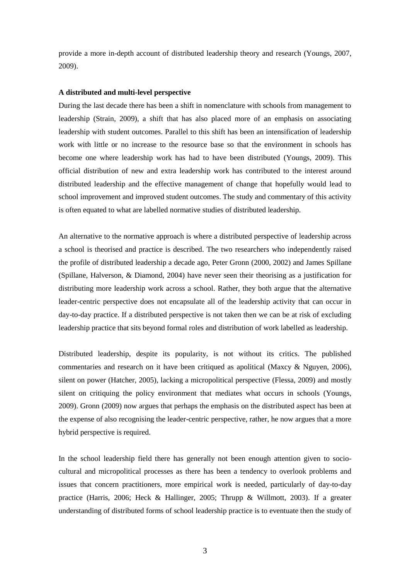provide a more in-depth account of distributed leadership theory and research (Youngs, 2007, 2009).

### **A distributed and multi-level perspective**

During the last decade there has been a shift in nomenclature with schools from management to leadership (Strain, 2009), a shift that has also placed more of an emphasis on associating leadership with student outcomes. Parallel to this shift has been an intensification of leadership work with little or no increase to the resource base so that the environment in schools has become one where leadership work has had to have been distributed (Youngs, 2009). This official distribution of new and extra leadership work has contributed to the interest around distributed leadership and the effective management of change that hopefully would lead to school improvement and improved student outcomes. The study and commentary of this activity is often equated to what are labelled normative studies of distributed leadership.

An alternative to the normative approach is where a distributed perspective of leadership across a school is theorised and practice is described. The two researchers who independently raised the profile of distributed leadership a decade ago, Peter Gronn (2000, 2002) and James Spillane (Spillane, Halverson, & Diamond, 2004) have never seen their theorising as a justification for distributing more leadership work across a school. Rather, they both argue that the alternative leader-centric perspective does not encapsulate all of the leadership activity that can occur in day-to-day practice. If a distributed perspective is not taken then we can be at risk of excluding leadership practice that sits beyond formal roles and distribution of work labelled as leadership.

Distributed leadership, despite its popularity, is not without its critics. The published commentaries and research on it have been critiqued as apolitical (Maxcy & Nguyen, 2006), silent on power (Hatcher, 2005), lacking a micropolitical perspective (Flessa, 2009) and mostly silent on critiquing the policy environment that mediates what occurs in schools (Youngs, 2009). Gronn (2009) now argues that perhaps the emphasis on the distributed aspect has been at the expense of also recognising the leader-centric perspective, rather, he now argues that a more hybrid perspective is required.

In the school leadership field there has generally not been enough attention given to sociocultural and micropolitical processes as there has been a tendency to overlook problems and issues that concern practitioners, more empirical work is needed, particularly of day-to-day practice (Harris, 2006; Heck & Hallinger, 2005; Thrupp & Willmott, 2003). If a greater understanding of distributed forms of school leadership practice is to eventuate then the study of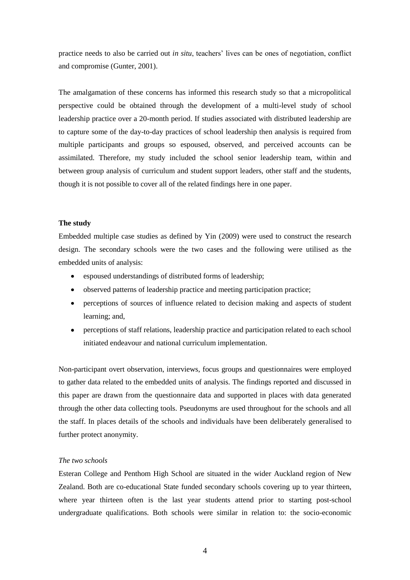practice needs to also be carried out *in situ*, teachers' lives can be ones of negotiation, conflict and compromise (Gunter, 2001).

The amalgamation of these concerns has informed this research study so that a micropolitical perspective could be obtained through the development of a multi-level study of school leadership practice over a 20-month period. If studies associated with distributed leadership are to capture some of the day-to-day practices of school leadership then analysis is required from multiple participants and groups so espoused, observed, and perceived accounts can be assimilated. Therefore, my study included the school senior leadership team, within and between group analysis of curriculum and student support leaders, other staff and the students, though it is not possible to cover all of the related findings here in one paper.

## **The study**

Embedded multiple case studies as defined by Yin (2009) were used to construct the research design. The secondary schools were the two cases and the following were utilised as the embedded units of analysis:

- espoused understandings of distributed forms of leadership;  $\bullet$
- $\bullet$ observed patterns of leadership practice and meeting participation practice;
- perceptions of sources of influence related to decision making and aspects of student learning; and,
- perceptions of staff relations, leadership practice and participation related to each school initiated endeavour and national curriculum implementation.

Non-participant overt observation, interviews, focus groups and questionnaires were employed to gather data related to the embedded units of analysis. The findings reported and discussed in this paper are drawn from the questionnaire data and supported in places with data generated through the other data collecting tools. Pseudonyms are used throughout for the schools and all the staff. In places details of the schools and individuals have been deliberately generalised to further protect anonymity.

### *The two schools*

Esteran College and Penthom High School are situated in the wider Auckland region of New Zealand. Both are co-educational State funded secondary schools covering up to year thirteen, where year thirteen often is the last year students attend prior to starting post-school undergraduate qualifications. Both schools were similar in relation to: the socio-economic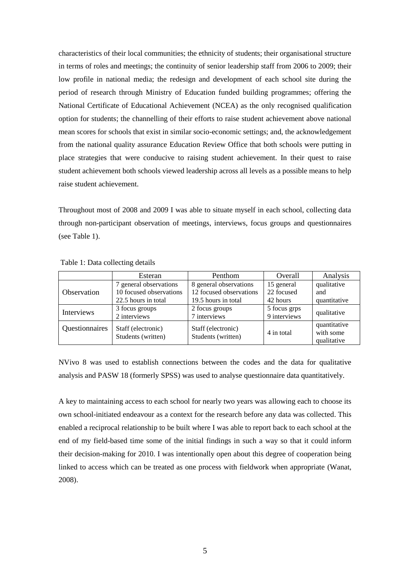characteristics of their local communities; the ethnicity of students; their organisational structure in terms of roles and meetings; the continuity of senior leadership staff from 2006 to 2009; their low profile in national media; the redesign and development of each school site during the period of research through Ministry of Education funded building programmes; offering the National Certificate of Educational Achievement (NCEA) as the only recognised qualification option for students; the channelling of their efforts to raise student achievement above national mean scores for schools that exist in similar socio-economic settings; and, the acknowledgement from the national quality assurance Education Review Office that both schools were putting in place strategies that were conducive to raising student achievement. In their quest to raise student achievement both schools viewed leadership across all levels as a possible means to help raise student achievement.

Throughout most of 2008 and 2009 I was able to situate myself in each school, collecting data through non-participant observation of meetings, interviews, focus groups and questionnaires (see Table 1).

|                    | Esteran                 | Penthom                 | <b>Overall</b> | Analysis     |  |
|--------------------|-------------------------|-------------------------|----------------|--------------|--|
|                    | 7 general observations  | 8 general observations  | 15 general     | qualitative  |  |
| <b>Observation</b> | 10 focused observations | 12 focused observations | 22 focused     | and          |  |
|                    | 22.5 hours in total     | 19.5 hours in total     | 42 hours       | quantitative |  |
| <b>Interviews</b>  | 3 focus groups          | 2 focus groups          | 5 focus grps   | qualitative  |  |
|                    | 2 interviews            | 7 interviews            | 9 interviews   |              |  |
| Questionnaires     | Staff (electronic)      | Staff (electronic)      |                | quantitative |  |
|                    | Students (written)      | Students (written)      | 4 in total     | with some    |  |
|                    |                         |                         |                | qualitative  |  |

#### Table 1: Data collecting details

NVivo 8 was used to establish connections between the codes and the data for qualitative analysis and PASW 18 (formerly SPSS) was used to analyse questionnaire data quantitatively.

A key to maintaining access to each school for nearly two years was allowing each to choose its own school-initiated endeavour as a context for the research before any data was collected. This enabled a reciprocal relationship to be built where I was able to report back to each school at the end of my field-based time some of the initial findings in such a way so that it could inform their decision-making for 2010. I was intentionally open about this degree of cooperation being linked to access which can be treated as one process with fieldwork when appropriate (Wanat, 2008).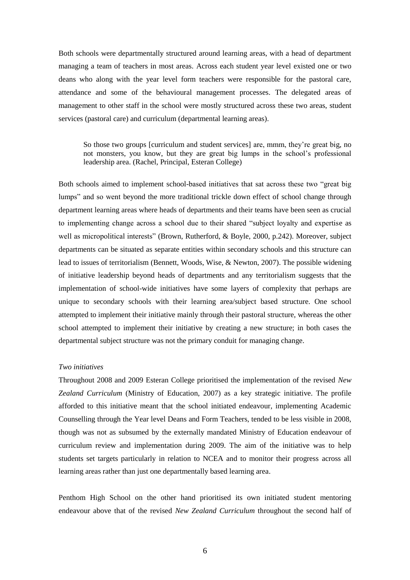Both schools were departmentally structured around learning areas, with a head of department managing a team of teachers in most areas. Across each student year level existed one or two deans who along with the year level form teachers were responsible for the pastoral care, attendance and some of the behavioural management processes. The delegated areas of management to other staff in the school were mostly structured across these two areas, student services (pastoral care) and curriculum (departmental learning areas).

So those two groups [curriculum and student services] are, mmm, they"re great big, no not monsters, you know, but they are great big lumps in the school"s professional leadership area. (Rachel, Principal, Esteran College)

Both schools aimed to implement school-based initiatives that sat across these two "great big lumps" and so went beyond the more traditional trickle down effect of school change through department learning areas where heads of departments and their teams have been seen as crucial to implementing change across a school due to their shared "subject loyalty and expertise as well as micropolitical interests" (Brown, Rutherford, & Boyle, 2000, p.242). Moreover, subject departments can be situated as separate entities within secondary schools and this structure can lead to issues of territorialism (Bennett, Woods, Wise, & Newton, 2007). The possible widening of initiative leadership beyond heads of departments and any territorialism suggests that the implementation of school-wide initiatives have some layers of complexity that perhaps are unique to secondary schools with their learning area/subject based structure. One school attempted to implement their initiative mainly through their pastoral structure, whereas the other school attempted to implement their initiative by creating a new structure; in both cases the departmental subject structure was not the primary conduit for managing change.

#### *Two initiatives*

Throughout 2008 and 2009 Esteran College prioritised the implementation of the revised *New Zealand Curriculum* (Ministry of Education, 2007) as a key strategic initiative. The profile afforded to this initiative meant that the school initiated endeavour, implementing Academic Counselling through the Year level Deans and Form Teachers, tended to be less visible in 2008, though was not as subsumed by the externally mandated Ministry of Education endeavour of curriculum review and implementation during 2009. The aim of the initiative was to help students set targets particularly in relation to NCEA and to monitor their progress across all learning areas rather than just one departmentally based learning area.

Penthom High School on the other hand prioritised its own initiated student mentoring endeavour above that of the revised *New Zealand Curriculum* throughout the second half of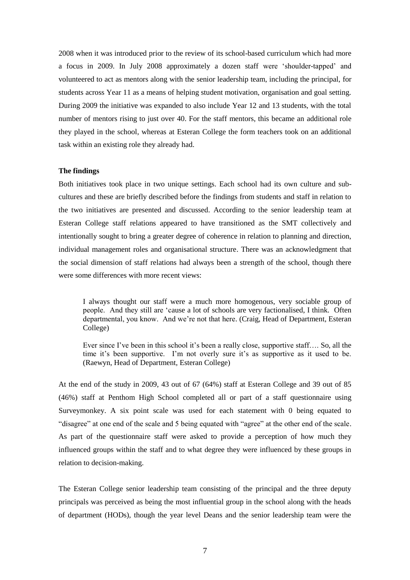2008 when it was introduced prior to the review of its school-based curriculum which had more a focus in 2009. In July 2008 approximately a dozen staff were "shoulder-tapped" and volunteered to act as mentors along with the senior leadership team, including the principal, for students across Year 11 as a means of helping student motivation, organisation and goal setting. During 2009 the initiative was expanded to also include Year 12 and 13 students, with the total number of mentors rising to just over 40. For the staff mentors, this became an additional role they played in the school, whereas at Esteran College the form teachers took on an additional task within an existing role they already had.

## **The findings**

Both initiatives took place in two unique settings. Each school had its own culture and subcultures and these are briefly described before the findings from students and staff in relation to the two initiatives are presented and discussed. According to the senior leadership team at Esteran College staff relations appeared to have transitioned as the SMT collectively and intentionally sought to bring a greater degree of coherence in relation to planning and direction, individual management roles and organisational structure. There was an acknowledgment that the social dimension of staff relations had always been a strength of the school, though there were some differences with more recent views:

I always thought our staff were a much more homogenous, very sociable group of people. And they still are "cause a lot of schools are very factionalised, I think. Often departmental, you know. And we"re not that here. (Craig, Head of Department, Esteran College)

Ever since I've been in this school it's been a really close, supportive staff.... So, all the time it's been supportive. I'm not overly sure it's as supportive as it used to be. (Raewyn, Head of Department, Esteran College)

At the end of the study in 2009, 43 out of 67 (64%) staff at Esteran College and 39 out of 85 (46%) staff at Penthom High School completed all or part of a staff questionnaire using Surveymonkey. A six point scale was used for each statement with 0 being equated to "disagree" at one end of the scale and 5 being equated with "agree" at the other end of the scale. As part of the questionnaire staff were asked to provide a perception of how much they influenced groups within the staff and to what degree they were influenced by these groups in relation to decision-making.

The Esteran College senior leadership team consisting of the principal and the three deputy principals was perceived as being the most influential group in the school along with the heads of department (HODs), though the year level Deans and the senior leadership team were the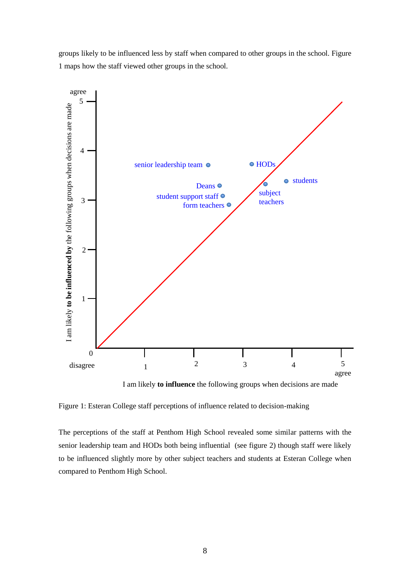

groups likely to be influenced less by staff when compared to other groups in the school. Figure 1 maps how the staff viewed other groups in the school.

I am likely **to influence** the following groups when decisions are made

Figure 1: Esteran College staff perceptions of influence related to decision-making

The perceptions of the staff at Penthom High School revealed some similar patterns with the senior leadership team and HODs both being influential (see figure 2) though staff were likely to be influenced slightly more by other subject teachers and students at Esteran College when compared to Penthom High School.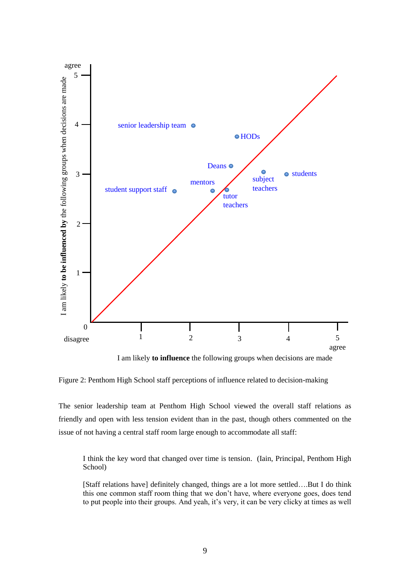

I am likely **to influence** the following groups when decisions are made

Figure 2: Penthom High School staff perceptions of influence related to decision-making

The senior leadership team at Penthom High School viewed the overall staff relations as friendly and open with less tension evident than in the past, though others commented on the issue of not having a central staff room large enough to accommodate all staff:

I think the key word that changed over time is tension. (Iain, Principal, Penthom High School)

[Staff relations have] definitely changed, things are a lot more settled….But I do think this one common staff room thing that we don"t have, where everyone goes, does tend to put people into their groups. And yeah, it's very, it can be very clicky at times as well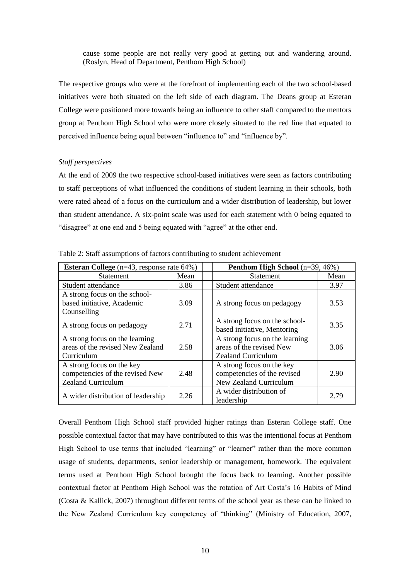cause some people are not really very good at getting out and wandering around. (Roslyn, Head of Department, Penthom High School)

The respective groups who were at the forefront of implementing each of the two school-based initiatives were both situated on the left side of each diagram. The Deans group at Esteran College were positioned more towards being an influence to other staff compared to the mentors group at Penthom High School who were more closely situated to the red line that equated to perceived influence being equal between "influence to" and "influence by".

### *Staff perspectives*

At the end of 2009 the two respective school-based initiatives were seen as factors contributing to staff perceptions of what influenced the conditions of student learning in their schools, both were rated ahead of a focus on the curriculum and a wider distribution of leadership, but lower than student attendance. A six-point scale was used for each statement with 0 being equated to "disagree" at one end and 5 being equated with "agree" at the other end.

| <b>Esteran College</b> ( $n=43$ , response rate $64\%$ ) |      | <b>Penthom High School</b> $(n=39, 46\%)$ |      |  |
|----------------------------------------------------------|------|-------------------------------------------|------|--|
| <b>Statement</b>                                         | Mean | <b>Statement</b>                          | Mean |  |
| Student attendance                                       | 3.86 | Student attendance                        | 3.97 |  |
| A strong focus on the school-                            |      |                                           |      |  |
| based initiative, Academic                               | 3.09 | A strong focus on pedagogy                | 3.53 |  |
| Counselling                                              |      |                                           |      |  |
| A strong focus on pedagogy                               | 2.71 | A strong focus on the school-             |      |  |
|                                                          |      | based initiative, Mentoring               | 3.35 |  |
| A strong focus on the learning                           |      | A strong focus on the learning            |      |  |
| areas of the revised New Zealand                         | 2.58 | areas of the revised New                  | 3.06 |  |
| Curriculum                                               |      | <b>Zealand Curriculum</b>                 |      |  |
| A strong focus on the key                                |      | A strong focus on the key                 |      |  |
| competencies of the revised New                          | 2.48 | competencies of the revised               | 2.90 |  |
| <b>Zealand Curriculum</b>                                |      | New Zealand Curriculum                    |      |  |
|                                                          | 2.26 | A wider distribution of                   | 2.79 |  |
| A wider distribution of leadership                       |      | leadership                                |      |  |

Table 2: Staff assumptions of factors contributing to student achievement

Overall Penthom High School staff provided higher ratings than Esteran College staff. One possible contextual factor that may have contributed to this was the intentional focus at Penthom High School to use terms that included "learning" or "learner" rather than the more common usage of students, departments, senior leadership or management, homework. The equivalent terms used at Penthom High School brought the focus back to learning. Another possible contextual factor at Penthom High School was the rotation of Art Costa"s 16 Habits of Mind (Costa & Kallick, 2007) throughout different terms of the school year as these can be linked to the New Zealand Curriculum key competency of "thinking" (Ministry of Education, 2007,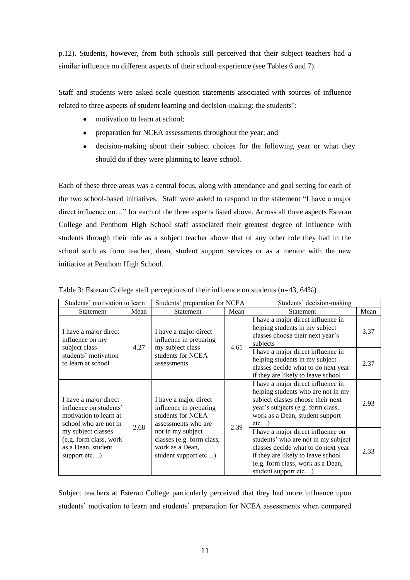p.12). Students, however, from both schools still perceived that their subject teachers had a similar influence on different aspects of their school experience (see Tables 6 and 7).

Staff and students were asked scale question statements associated with sources of influence related to three aspects of student learning and decision-making; the students':

- motivation to learn at school;  $\bullet$
- preparation for NCEA assessments throughout the year; and
- decision-making about their subject choices for the following year or what they should do if they were planning to leave school.

Each of these three areas was a central focus, along with attendance and goal setting for each of the two school-based initiatives. Staff were asked to respond to the statement "I have a major direct influence on…" for each of the three aspects listed above. Across all three aspects Esteran College and Penthom High School staff associated their greatest degree of influence with students through their role as a subject teacher above that of any other role they had in the school such as form teacher, dean, student support services or as a mentor with the new initiative at Penthom High School.

| Students' motivation to learn                                                                      |      | Students' preparation for NCEA                                                              |      | Students' decision-making                                                                                                                                                                                           |      |
|----------------------------------------------------------------------------------------------------|------|---------------------------------------------------------------------------------------------|------|---------------------------------------------------------------------------------------------------------------------------------------------------------------------------------------------------------------------|------|
| <b>Statement</b>                                                                                   | Mean | Statement                                                                                   | Mean | Statement                                                                                                                                                                                                           | Mean |
| I have a major direct<br>influence on my<br>subject class                                          | 4.27 | I have a major direct<br>influence in preparing<br>my subject class                         | 4.61 | I have a major direct influence in<br>helping students in my subject<br>classes choose their next year's<br>subjects                                                                                                | 3.37 |
| students' motivation<br>to learn at school                                                         |      | students for NCEA<br>assessments                                                            |      | I have a major direct influence in<br>helping students in my subject<br>classes decide what to do next year<br>if they are likely to leave school                                                                   | 2.37 |
| I have a major direct<br>influence on students'<br>motivation to learn at<br>school who are not in |      | I have a major direct<br>influence in preparing<br>students for NCEA<br>assessments who are |      | I have a major direct influence in<br>helping students who are not in my<br>subject classes choose their next<br>year's subjects (e.g. form class,<br>work as a Dean, student support<br>etc                        | 2.93 |
| my subject classes<br>(e.g. form class, work<br>as a Dean, student<br>support $etc$ )              | 2.68 | not in my subject<br>classes (e.g. form class,<br>work as a Dean,<br>student support etc)   | 2.39 | I have a major direct influence on<br>students' who are not in my subject<br>classes decide what to do next year<br>if they are likely to leave school<br>(e.g. form class, work as a Dean,<br>student support etc) | 2.33 |

Table 3: Esteran College staff perceptions of their influence on students (n=43, 64%)

Subject teachers at Esteran College particularly perceived that they had more influence upon students" motivation to learn and students" preparation for NCEA assessments when compared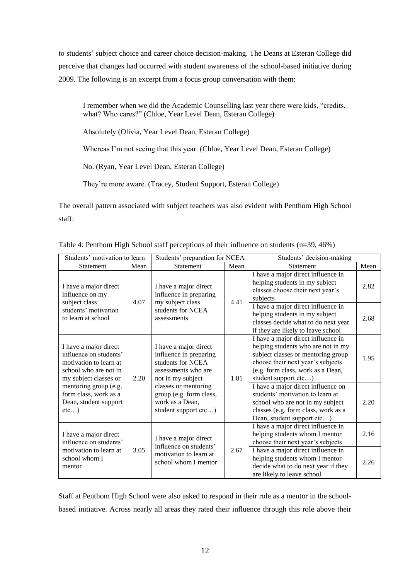to students' subject choice and career choice decision-making. The Deans at Esteran College did perceive that changes had occurred with student awareness of the school-based initiative during 2009. The following is an excerpt from a focus group conversation with them:

I remember when we did the Academic Counselling last year there were kids, "credits, what? Who cares?" (Chloe, Year Level Dean, Esteran College)

Absolutely (Olivia, Year Level Dean, Esteran College)

Whereas I'm not seeing that this year. (Chloe, Year Level Dean, Esteran College)

No. (Ryan, Year Level Dean, Esteran College)

They"re more aware. (Tracey, Student Support, Esteran College)

The overall pattern associated with subject teachers was also evident with Penthom High School staff:

| Students' motivation to learn                                                                                                                                                                                  |      | Students' preparation for NCEA                                                                                                                                                                                 |      | Students' decision-making                                                                                                                                                                                                                                                                                                                                                                           |              |
|----------------------------------------------------------------------------------------------------------------------------------------------------------------------------------------------------------------|------|----------------------------------------------------------------------------------------------------------------------------------------------------------------------------------------------------------------|------|-----------------------------------------------------------------------------------------------------------------------------------------------------------------------------------------------------------------------------------------------------------------------------------------------------------------------------------------------------------------------------------------------------|--------------|
| Statement                                                                                                                                                                                                      | Mean | Statement                                                                                                                                                                                                      | Mean | <b>Statement</b>                                                                                                                                                                                                                                                                                                                                                                                    | Mean         |
| I have a major direct<br>influence on my<br>subject class                                                                                                                                                      | 4.07 | I have a major direct<br>influence in preparing<br>my subject class                                                                                                                                            | 4.41 | I have a major direct influence in<br>helping students in my subject<br>classes choose their next year's<br>subjects                                                                                                                                                                                                                                                                                | 2.82         |
| students' motivation<br>to learn at school                                                                                                                                                                     |      | students for NCEA<br>assessments                                                                                                                                                                               |      | I have a major direct influence in<br>helping students in my subject<br>classes decide what to do next year<br>if they are likely to leave school                                                                                                                                                                                                                                                   | 2.68         |
| I have a major direct<br>influence on students'<br>motivation to learn at<br>school who are not in<br>my subject classes or<br>mentoring group (e.g.<br>form class, work as a<br>Dean, student support<br>etc) | 2.20 | I have a major direct<br>influence in preparing<br>students for NCEA<br>assessments who are<br>not in my subject<br>classes or mentoring<br>group (e.g. form class,<br>work as a Dean,<br>student support etc) | 1.81 | I have a major direct influence in<br>helping students who are not in my<br>subject classes or mentoring group<br>choose their next year's subjects<br>(e.g. form class, work as a Dean,<br>student support etc)<br>I have a major direct influence on<br>students' motivation to learn at<br>school who are not in my subject<br>classes (e.g. form class, work as a<br>Dean, student support etc) | 1.95<br>2.20 |
| I have a major direct<br>influence on students'                                                                                                                                                                |      | I have a major direct<br>influence on students'                                                                                                                                                                |      | I have a major direct influence in<br>helping students whom I mentor<br>choose their next year's subjects                                                                                                                                                                                                                                                                                           | 2.16         |
| motivation to learn at<br>school whom I<br>mentor                                                                                                                                                              | 3.05 | motivation to learn at<br>school whom I mentor                                                                                                                                                                 | 2.67 | I have a major direct influence in<br>helping students whom I mentor<br>decide what to do next year if they<br>are likely to leave school                                                                                                                                                                                                                                                           | 2.26         |

Table 4: Penthom High School staff perceptions of their influence on students (n=39, 46%)

Staff at Penthom High School were also asked to respond in their role as a mentor in the schoolbased initiative. Across nearly all areas they rated their influence through this role above their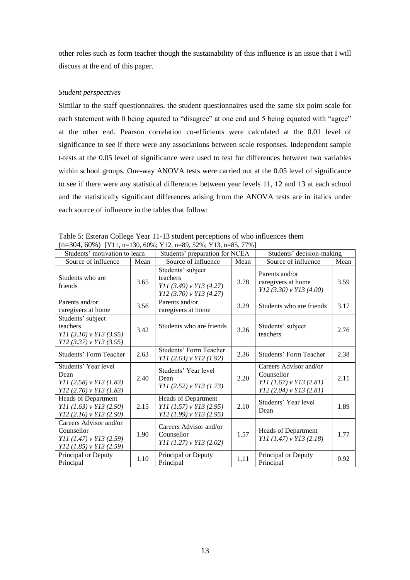other roles such as form teacher though the sustainability of this influence is an issue that I will discuss at the end of this paper.

## *Student perspectives*

Similar to the staff questionnaires, the student questionnaires used the same six point scale for each statement with 0 being equated to "disagree" at one end and 5 being equated with "agree" at the other end. Pearson correlation co-efficients were calculated at the 0.01 level of significance to see if there were any associations between scale responses. Independent sample t-tests at the 0.05 level of significance were used to test for differences between two variables within school groups. One-way ANOVA tests were carried out at the 0.05 level of significance to see if there were any statistical differences between year levels 11, 12 and 13 at each school and the statistically significant differences arising from the ANOVA tests are in italics under each source of influence in the tables that follow:

| Students' motivation to learn                                                                    |      | $11-30+$ , 00707   111, $11-130$ , 0070, 112, $11-07$ , $3270$ , 113, $11-03$ , 7770<br>Students' preparation for NCEA |      | Students' decision-making                                                                    |      |
|--------------------------------------------------------------------------------------------------|------|------------------------------------------------------------------------------------------------------------------------|------|----------------------------------------------------------------------------------------------|------|
| Source of influence                                                                              | Mean | Source of influence                                                                                                    | Mean | Source of influence                                                                          | Mean |
| Students who are<br>friends                                                                      | 3.65 | Students' subject<br>teachers<br>$Y11(3.49)$ v $Y13(4.27)$<br>$Y12(3.70)$ v $Y13(4.27)$                                | 3.78 | Parents and/or<br>caregivers at home<br>Y12 (3.30) v Y13 (4.00)                              | 3.59 |
| Parents and/or<br>caregivers at home                                                             | 3.56 | Parents and/or<br>caregivers at home                                                                                   | 3.29 | Students who are friends                                                                     | 3.17 |
| Students' subject<br>teachers<br>$Y11(3.10)$ v $Y13(3.95)$<br>$Y12$ (3.37) v $Y13$ (3.95)        | 3.42 | Students who are friends                                                                                               | 3.26 | Students' subject<br>teachers                                                                | 2.76 |
| <b>Students' Form Teacher</b>                                                                    | 2.63 | <b>Students' Form Teacher</b><br>Y11 (2.63) v Y12 (1.92)                                                               | 2.36 | <b>Students' Form Teacher</b>                                                                | 2.38 |
| Students' Year level<br>Dean<br>$Y11(2.58)$ v $Y13(1.83)$<br>$Y12(2.70)$ v $Y13(1.83)$           | 2.40 | Students' Year level<br>Dean<br>Y11 (2.52) v Y13 (1.73)                                                                | 2.20 | Careers Advisor and/or<br>Counsellor<br>Y11 (1.67) v Y13 (2.81)<br>$Y12(2.04)$ v $Y13(2.81)$ | 2.11 |
| Heads of Department<br>$Y11(1.63)$ v $Y13(2.90)$<br>$Y12(2.16) \text{ v } Y13(2.90)$             | 2.15 | Heads of Department<br>$Y11$ (1.57) v $Y13$ (2.95)<br>$Y12$ (1.99) v $Y13$ (2.95)                                      | 2.10 | Students' Year level<br>Dean                                                                 | 1.89 |
| Careers Advisor and/or<br>Counsellor<br>$Y11(1.47)$ v $Y13(2.59)$<br>$Y12$ (1.85) v $Y13$ (2.59) | 1.90 | Careers Advisor and/or<br>Counsellor<br>$Y11(1.27)$ v $Y13(2.02)$                                                      | 1.57 | <b>Heads of Department</b><br>$Y11(1.47)$ v $Y13(2.18)$                                      | 1.77 |
| Principal or Deputy<br>Principal                                                                 | 1.10 | Principal or Deputy<br>Principal                                                                                       | 1.11 | Principal or Deputy<br>Principal                                                             | 0.92 |

Table 5: Esteran College Year 11-13 student perceptions of who influences them  $(n-304, 60\%)$  [Y11, n=130, 60%; Y12, n=89, 52%; Y13, n=85, 77%]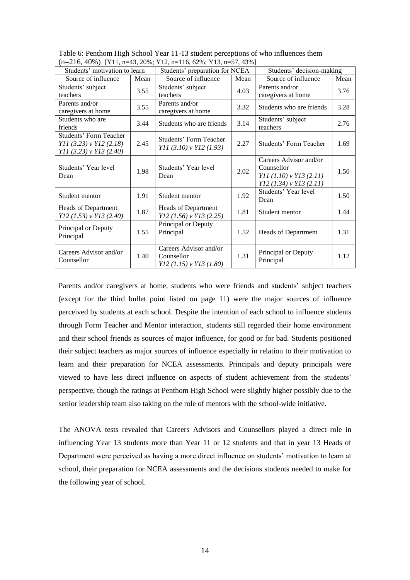|                                                                                           |      | $\left(11 - 210, 1070\right)$   1 1 1, $\left(1 - 10, 2070, 112, 11 - 110, 0270, 110, 11 - 07, 1070\right)$ |      |                                                                                                  |      |
|-------------------------------------------------------------------------------------------|------|-------------------------------------------------------------------------------------------------------------|------|--------------------------------------------------------------------------------------------------|------|
| Students' motivation to learn                                                             |      | Students' preparation for NCEA                                                                              |      | Students' decision-making                                                                        |      |
| Source of influence                                                                       | Mean | Source of influence                                                                                         | Mean | Source of influence                                                                              | Mean |
| Students' subject<br>teachers                                                             | 3.55 | Students' subject<br>teachers                                                                               | 4.03 | Parents and/or<br>caregivers at home                                                             | 3.76 |
| Parents and/or<br>caregivers at home                                                      | 3.55 | Parents and/or<br>caregivers at home                                                                        | 3.32 | Students who are friends                                                                         | 3.28 |
| Students who are<br>friends                                                               | 3.44 | Students who are friends                                                                                    | 3.14 | Students' subject<br>teachers                                                                    | 2.76 |
| <b>Students' Form Teacher</b><br>$Y11(3.23)$ v $Y12(2.18)$<br>$Y11$ (3.23) v $Y13$ (2.40) | 2.45 | Students' Form Teacher<br>$Y11(3.10)$ v $Y12(1.93)$                                                         | 2.27 | Students' Form Teacher                                                                           | 1.69 |
| Students' Year level<br>Dean                                                              | 1.98 | Students' Year level<br>Dean                                                                                | 2.02 | Careers Advisor and/or<br>Counsellor<br>$Y11(1.10)$ v $Y13(2.11)$<br>$Y12$ (1.34) v $Y13$ (2.11) | 1.50 |
| Student mentor                                                                            | 1.91 | Student mentor                                                                                              | 1.92 | Students' Year level<br>Dean                                                                     | 1.50 |
| <b>Heads of Department</b><br>$Y12$ (1.53) v $Y13$ (2.40)                                 | 1.87 | <b>Heads of Department</b><br>$Y12$ (1.56) v $Y13$ (2.25)                                                   | 1.81 | Student mentor                                                                                   | 1.44 |
| Principal or Deputy<br>Principal                                                          | 1.55 | Principal or Deputy<br>Principal                                                                            | 1.52 | <b>Heads of Department</b>                                                                       | 1.31 |
| Careers Advisor and/or<br>Counsellor                                                      | 1.40 | Careers Advisor and/or<br>Counsellor<br>$Y12$ (1.15) v $Y13$ (1.80)                                         | 1.31 | Principal or Deputy<br>Principal                                                                 | 1.12 |

Table 6: Penthom High School Year 11-13 student perceptions of who influences them  $(n=216, 40\%)$  [Y11, n=43, 20%; Y12, n=116, 62%; Y13, n=57, 43%]

Parents and/or caregivers at home, students who were friends and students' subject teachers (except for the third bullet point listed on page 11) were the major sources of influence perceived by students at each school. Despite the intention of each school to influence students through Form Teacher and Mentor interaction, students still regarded their home environment and their school friends as sources of major influence, for good or for bad. Students positioned their subject teachers as major sources of influence especially in relation to their motivation to learn and their preparation for NCEA assessments. Principals and deputy principals were viewed to have less direct influence on aspects of student achievement from the students' perspective, though the ratings at Penthom High School were slightly higher possibly due to the senior leadership team also taking on the role of mentors with the school-wide initiative.

The ANOVA tests revealed that Careers Advisors and Counsellors played a direct role in influencing Year 13 students more than Year 11 or 12 students and that in year 13 Heads of Department were perceived as having a more direct influence on students" motivation to learn at school, their preparation for NCEA assessments and the decisions students needed to make for the following year of school.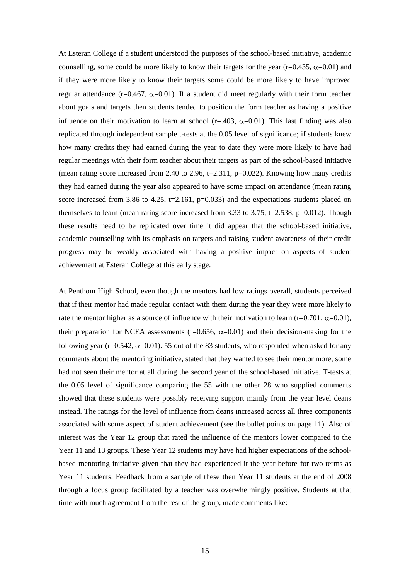At Esteran College if a student understood the purposes of the school-based initiative, academic counselling, some could be more likely to know their targets for the year (r=0.435,  $\alpha$ =0.01) and if they were more likely to know their targets some could be more likely to have improved regular attendance (r=0.467,  $\alpha$ =0.01). If a student did meet regularly with their form teacher about goals and targets then students tended to position the form teacher as having a positive influence on their motivation to learn at school (r=.403,  $\alpha$ =0.01). This last finding was also replicated through independent sample t-tests at the 0.05 level of significance; if students knew how many credits they had earned during the year to date they were more likely to have had regular meetings with their form teacher about their targets as part of the school-based initiative (mean rating score increased from 2.40 to 2.96,  $t=2.311$ ,  $p=0.022$ ). Knowing how many credits they had earned during the year also appeared to have some impact on attendance (mean rating score increased from 3.86 to 4.25, t=2.161,  $p=0.033$ ) and the expectations students placed on themselves to learn (mean rating score increased from 3.33 to 3.75, t=2.538, p=0.012). Though these results need to be replicated over time it did appear that the school-based initiative, academic counselling with its emphasis on targets and raising student awareness of their credit progress may be weakly associated with having a positive impact on aspects of student achievement at Esteran College at this early stage.

At Penthom High School, even though the mentors had low ratings overall, students perceived that if their mentor had made regular contact with them during the year they were more likely to rate the mentor higher as a source of influence with their motivation to learn (r=0.701,  $\alpha$ =0.01), their preparation for NCEA assessments ( $r=0.656$ ,  $\alpha=0.01$ ) and their decision-making for the following year (r=0.542,  $\alpha$ =0.01). 55 out of the 83 students, who responded when asked for any comments about the mentoring initiative, stated that they wanted to see their mentor more; some had not seen their mentor at all during the second year of the school-based initiative. T-tests at the 0.05 level of significance comparing the 55 with the other 28 who supplied comments showed that these students were possibly receiving support mainly from the year level deans instead. The ratings for the level of influence from deans increased across all three components associated with some aspect of student achievement (see the bullet points on page 11). Also of interest was the Year 12 group that rated the influence of the mentors lower compared to the Year 11 and 13 groups. These Year 12 students may have had higher expectations of the schoolbased mentoring initiative given that they had experienced it the year before for two terms as Year 11 students. Feedback from a sample of these then Year 11 students at the end of 2008 through a focus group facilitated by a teacher was overwhelmingly positive. Students at that time with much agreement from the rest of the group, made comments like: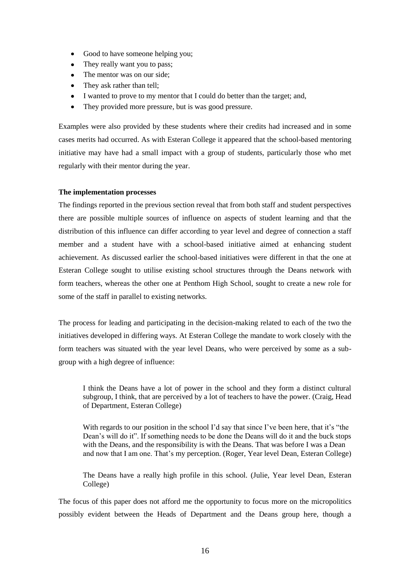- Good to have someone helping you;
- They really want you to pass;
- The mentor was on our side;
- They ask rather than tell;
- I wanted to prove to my mentor that I could do better than the target; and,
- They provided more pressure, but is was good pressure.

Examples were also provided by these students where their credits had increased and in some cases merits had occurred. As with Esteran College it appeared that the school-based mentoring initiative may have had a small impact with a group of students, particularly those who met regularly with their mentor during the year.

## **The implementation processes**

The findings reported in the previous section reveal that from both staff and student perspectives there are possible multiple sources of influence on aspects of student learning and that the distribution of this influence can differ according to year level and degree of connection a staff member and a student have with a school-based initiative aimed at enhancing student achievement. As discussed earlier the school-based initiatives were different in that the one at Esteran College sought to utilise existing school structures through the Deans network with form teachers, whereas the other one at Penthom High School, sought to create a new role for some of the staff in parallel to existing networks.

The process for leading and participating in the decision-making related to each of the two the initiatives developed in differing ways. At Esteran College the mandate to work closely with the form teachers was situated with the year level Deans, who were perceived by some as a subgroup with a high degree of influence:

I think the Deans have a lot of power in the school and they form a distinct cultural subgroup, I think, that are perceived by a lot of teachers to have the power. (Craig, Head of Department, Esteran College)

With regards to our position in the school I'd say that since I've been here, that it's "the Dean"s will do it". If something needs to be done the Deans will do it and the buck stops with the Deans, and the responsibility is with the Deans. That was before I was a Dean and now that I am one. That"s my perception. (Roger, Year level Dean, Esteran College)

The Deans have a really high profile in this school. (Julie, Year level Dean, Esteran College)

The focus of this paper does not afford me the opportunity to focus more on the micropolitics possibly evident between the Heads of Department and the Deans group here, though a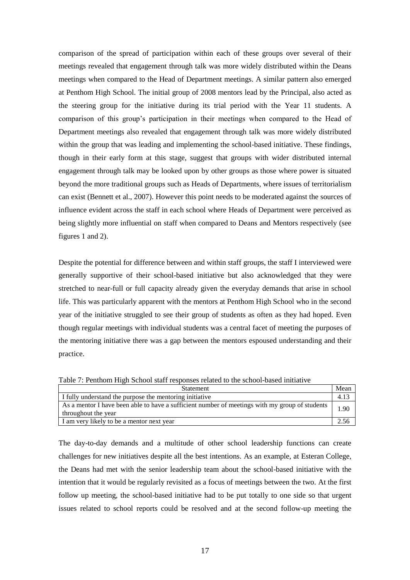comparison of the spread of participation within each of these groups over several of their meetings revealed that engagement through talk was more widely distributed within the Deans meetings when compared to the Head of Department meetings. A similar pattern also emerged at Penthom High School. The initial group of 2008 mentors lead by the Principal, also acted as the steering group for the initiative during its trial period with the Year 11 students. A comparison of this group"s participation in their meetings when compared to the Head of Department meetings also revealed that engagement through talk was more widely distributed within the group that was leading and implementing the school-based initiative. These findings, though in their early form at this stage, suggest that groups with wider distributed internal engagement through talk may be looked upon by other groups as those where power is situated beyond the more traditional groups such as Heads of Departments, where issues of territorialism can exist (Bennett et al., 2007). However this point needs to be moderated against the sources of influence evident across the staff in each school where Heads of Department were perceived as being slightly more influential on staff when compared to Deans and Mentors respectively (see figures 1 and 2).

Despite the potential for difference between and within staff groups, the staff I interviewed were generally supportive of their school-based initiative but also acknowledged that they were stretched to near-full or full capacity already given the everyday demands that arise in school life. This was particularly apparent with the mentors at Penthom High School who in the second year of the initiative struggled to see their group of students as often as they had hoped. Even though regular meetings with individual students was a central facet of meeting the purposes of the mentoring initiative there was a gap between the mentors espoused understanding and their practice.

Table 7: Penthom High School staff responses related to the school-based initiative

| <b>Statement</b>                                                                                                      | Mear |
|-----------------------------------------------------------------------------------------------------------------------|------|
| I fully understand the purpose the mentoring initiative                                                               |      |
| As a mentor I have been able to have a sufficient number of meetings with my group of students<br>throughout the year | 1.9C |
| I am very likely to be a mentor next year                                                                             |      |

The day-to-day demands and a multitude of other school leadership functions can create challenges for new initiatives despite all the best intentions. As an example, at Esteran College, the Deans had met with the senior leadership team about the school-based initiative with the intention that it would be regularly revisited as a focus of meetings between the two. At the first follow up meeting, the school-based initiative had to be put totally to one side so that urgent issues related to school reports could be resolved and at the second follow-up meeting the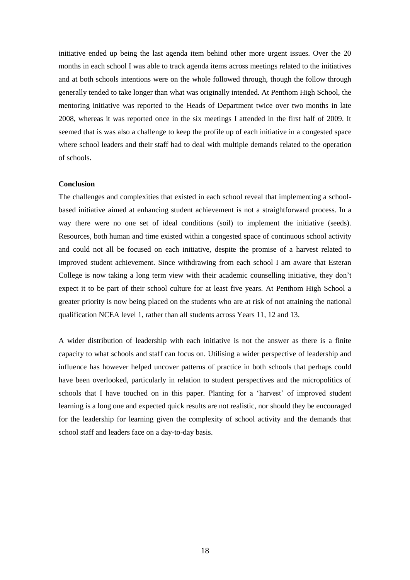initiative ended up being the last agenda item behind other more urgent issues. Over the 20 months in each school I was able to track agenda items across meetings related to the initiatives and at both schools intentions were on the whole followed through, though the follow through generally tended to take longer than what was originally intended. At Penthom High School, the mentoring initiative was reported to the Heads of Department twice over two months in late 2008, whereas it was reported once in the six meetings I attended in the first half of 2009. It seemed that is was also a challenge to keep the profile up of each initiative in a congested space where school leaders and their staff had to deal with multiple demands related to the operation of schools.

### **Conclusion**

The challenges and complexities that existed in each school reveal that implementing a schoolbased initiative aimed at enhancing student achievement is not a straightforward process. In a way there were no one set of ideal conditions (soil) to implement the initiative (seeds). Resources, both human and time existed within a congested space of continuous school activity and could not all be focused on each initiative, despite the promise of a harvest related to improved student achievement. Since withdrawing from each school I am aware that Esteran College is now taking a long term view with their academic counselling initiative, they don"t expect it to be part of their school culture for at least five years. At Penthom High School a greater priority is now being placed on the students who are at risk of not attaining the national qualification NCEA level 1, rather than all students across Years 11, 12 and 13.

A wider distribution of leadership with each initiative is not the answer as there is a finite capacity to what schools and staff can focus on. Utilising a wider perspective of leadership and influence has however helped uncover patterns of practice in both schools that perhaps could have been overlooked, particularly in relation to student perspectives and the micropolitics of schools that I have touched on in this paper. Planting for a "harvest" of improved student learning is a long one and expected quick results are not realistic, nor should they be encouraged for the leadership for learning given the complexity of school activity and the demands that school staff and leaders face on a day-to-day basis.